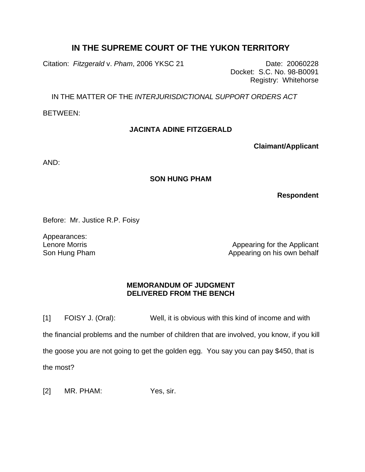## **IN THE SUPREME COURT OF THE YUKON TERRITORY**

Citation: *Fitzgerald* v. *Pham*, 2006 YKSC 21 Date: 20060228

Docket: S.C. No. 98-B0091 Registry: Whitehorse

IN THE MATTER OF THE *INTERJURISDICTIONAL SUPPORT ORDERS ACT* 

BETWEEN:

## **JACINTA ADINE FITZGERALD**

**Claimant/Applicant**

AND:

## **SON HUNG PHAM**

**Respondent**

Before: Mr. Justice R.P. Foisy

Appearances: Lenore Morris Son Hung Pham

Appearing for the Applicant Appearing on his own behalf

## **MEMORANDUM OF JUDGMENT DELIVERED FROM THE BENCH**

[1] FOISY J. (Oral): Well, it is obvious with this kind of income and with the financial problems and the number of children that are involved, you know, if you kill the goose you are not going to get the golden egg. You say you can pay \$450, that is the most?

[2] MR. PHAM: Yes, sir.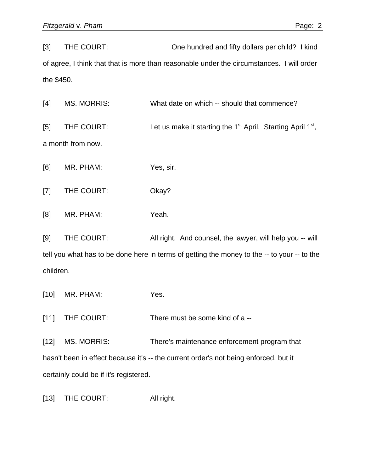[3] THE COURT: One hundred and fifty dollars per child? I kind of agree, I think that that is more than reasonable under the circumstances. I will order the \$450.

[4] MS. MORRIS: What date on which -- should that commence? [5] THE COURT: Let us make it starting the  $1<sup>st</sup>$  April. Starting April  $1<sup>st</sup>$ , a month from now.

[6] MR. PHAM: Yes, sir.

- [7] THE COURT: Okay?
- [8] MR. PHAM: Yeah.

[9] THE COURT: All right. And counsel, the lawyer, will help you -- will tell you what has to be done here in terms of getting the money to the -- to your -- to the children.

[10] MR. PHAM: Yes.

[11] THE COURT: There must be some kind of a --

[12] MS. MORRIS: There's maintenance enforcement program that hasn't been in effect because it's -- the current order's not being enforced, but it certainly could be if it's registered.

[13] THE COURT: All right.